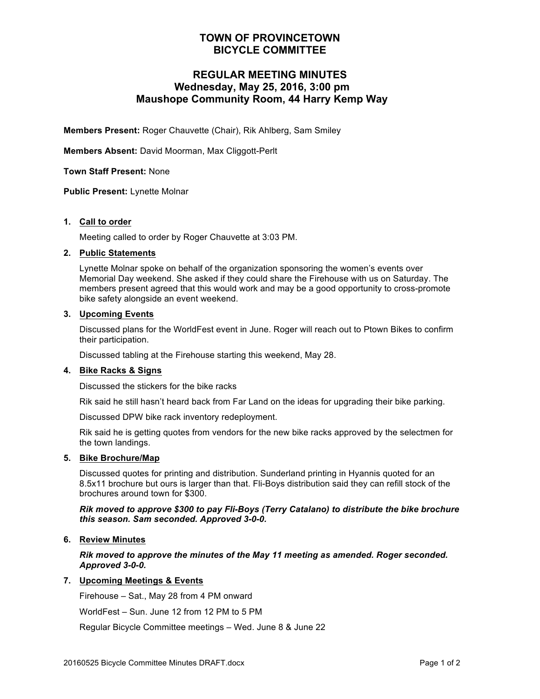## **TOWN OF PROVINCETOWN BICYCLE COMMITTEE**

# **REGULAR MEETING MINUTES Wednesday, May 25, 2016, 3:00 pm Maushope Community Room, 44 Harry Kemp Way**

**Members Present:** Roger Chauvette (Chair), Rik Ahlberg, Sam Smiley

**Members Absent:** David Moorman, Max Cliggott-Perlt

**Town Staff Present:** None

**Public Present:** Lynette Molnar

### **1. Call to order**

Meeting called to order by Roger Chauvette at 3:03 PM.

### **2. Public Statements**

Lynette Molnar spoke on behalf of the organization sponsoring the women's events over Memorial Day weekend. She asked if they could share the Firehouse with us on Saturday. The members present agreed that this would work and may be a good opportunity to cross-promote bike safety alongside an event weekend.

#### **3. Upcoming Events**

Discussed plans for the WorldFest event in June. Roger will reach out to Ptown Bikes to confirm their participation.

Discussed tabling at the Firehouse starting this weekend, May 28.

### **4. Bike Racks & Signs**

Discussed the stickers for the bike racks

Rik said he still hasn't heard back from Far Land on the ideas for upgrading their bike parking.

Discussed DPW bike rack inventory redeployment.

Rik said he is getting quotes from vendors for the new bike racks approved by the selectmen for the town landings.

#### **5. Bike Brochure/Map**

Discussed quotes for printing and distribution. Sunderland printing in Hyannis quoted for an 8.5x11 brochure but ours is larger than that. Fli-Boys distribution said they can refill stock of the brochures around town for \$300.

### *Rik moved to approve \$300 to pay Fli-Boys (Terry Catalano) to distribute the bike brochure this season. Sam seconded. Approved 3-0-0.*

### **6. Review Minutes**

*Rik moved to approve the minutes of the May 11 meeting as amended. Roger seconded. Approved 3-0-0.*

### **7. Upcoming Meetings & Events**

Firehouse – Sat., May 28 from 4 PM onward

WorldFest – Sun. June 12 from 12 PM to 5 PM

Regular Bicycle Committee meetings – Wed. June 8 & June 22